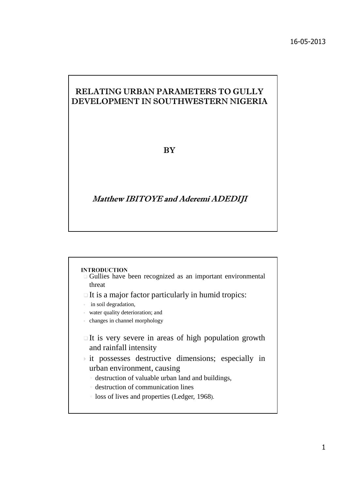## RELATING URBAN PARAMETERS TO GULLY DEVELOPMENT IN SOUTHWESTERN NIGERIA

#### **BY**

### Matthew IBITOYE and Aderemi ADEDIJI

#### **INTRODUCTION**

- Gullies have been recognized as an important environmental threat
- $\Box$  It is a major factor particularly in humid tropics:
- in soil degradation,
- water quality deterioration; and
- changes in channel morphology
- $\Box$  It is very severe in areas of high population growth and rainfall intensity
- $\rightarrow$  it possesses destructive dimensions; especially in urban environment, causing
	- destruction of valuable urban land and buildings,
	- destruction of communication lines
	- loss of lives and properties (Ledger, 1968).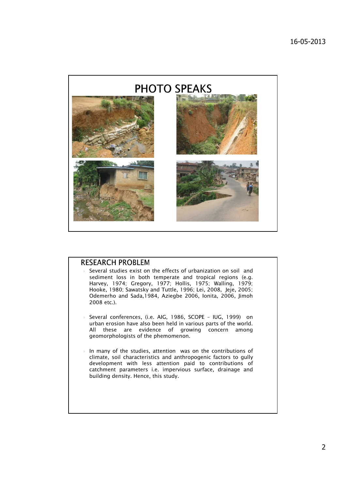

#### **RESEARCH PROBLEM**

- Several studies exist on the effects of urbanization on soil and sediment loss in both temperate and tropical regions (e.g. Harvey, 1974; Gregory, 1977; Hollis, 1975; Walling, 1979; Hooke, 1980; Sawatsky and Tuttle, 1996; Lei, 2008, Jeje, 2005; Odemerho and Sada,1984, Aziegbe 2006, Ionita, 2006, Jimoh 2008 etc.).
- Several conferences, (i.e. AIG, 1986, SCOPE IUG, 1999) on urban erosion have also been held in various parts of the world. All these are evidence of growing concern among geomorphologists of the phemomenon.
- In many of the studies, attention was on the contributions of climate, soil characteristics and anthropogenic factors to gully development with less attention paid to contributions of catchment parameters i.e. impervious surface, drainage and building density. Hence, this study.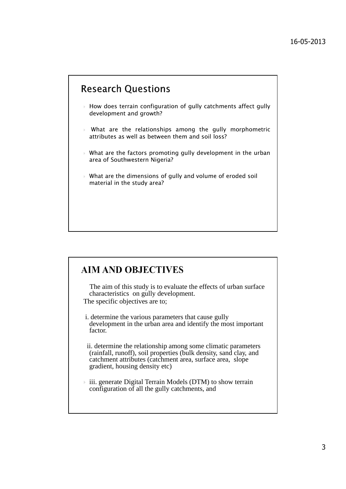# **Research Questions**

- $\rightarrow$  How does terrain configuration of gully catchments affect gully development and growth?
- What are the relationships among the gully morphometric attributes as well as between them and soil loss?
- $\rightarrow$  What are the factors promoting gully development in the urban area of Southwestern Nigeria?
- What are the dimensions of gully and volume of eroded soil material in the study area?

# **AIM AND OBJECTIVES**

The aim of this study is to evaluate the effects of urban surface characteristics on gully development. The specific objectives are to;

i. determine the various parameters that cause gully development in the urban area and identify the most important factor.

ii. determine the relationship among some climatic parameters (rainfall, runoff), soil properties (bulk density, sand clay, and catchment attributes (catchment area, surface area, slope gradient, housing density etc)

 $\rightarrow$  iii. generate Digital Terrain Models (DTM) to show terrain configuration of all the gully catchments, and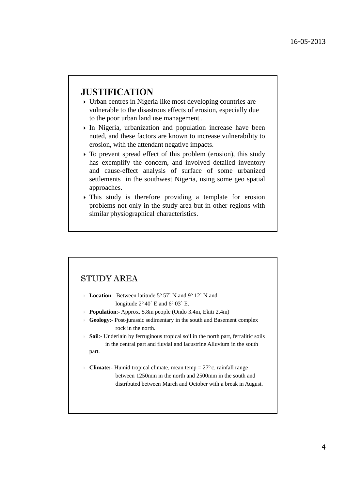## **JUSTIFICATION**

- Urban centres in Nigeria like most developing countries are vulnerable to the disastrous effects of erosion, especially due to the poor urban land use management .
- $\triangleright$  In Nigeria, urbanization and population increase have been noted, and these factors are known to increase vulnerability to erosion, with the attendant negative impacts.
- To prevent spread effect of this problem (erosion), this study has exemplify the concern, and involved detailed inventory and cause-effect analysis of surface of some urbanized settlements in the southwest Nigeria, using some geo spatial approaches.
- This study is therefore providing a template for erosion problems not only in the study area but in other regions with similar physiographical characteristics.

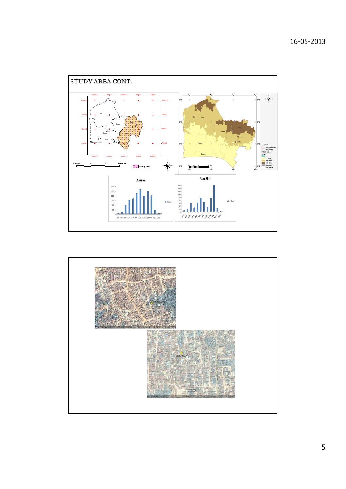

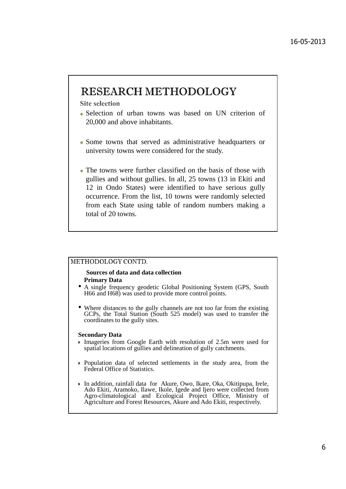# **RESEARCH METHODOLOGY**

**Site selection** 

- Selection of urban towns was based on UN criterion of 20,000 and above inhabitants.
- Some towns that served as administrative headquarters or university towns were considered for the study.
- The towns were further classified on the basis of those with gullies and without gullies. In all, 25 towns (13 in Ekiti and 12 in Ondo States) were identified to have serious gully occurrence. From the list, 10 towns were randomly selected from each State using table of random numbers making a total of 20 towns.

#### METHODOLOGY CONTD.

#### **Sources of data and data collection Primary Data**

- A single frequency geodetic Global Positioning System (GPS, South H66 and H68) was used to provide more control points.
- Where distances to the gully channels are not too far from the existing GCPs, the Total Station (South 525 model) was used to transfer the coordinates to the gully sites.

#### **Secondary Data**

- Imageries from Google Earth with resolution of 2.5m were used for spatial locations of gullies and delineation of gully catchments.
- Population data of selected settlements in the study area, from the Federal Office of Statistics.
- In addition, rainfall data for Akure, Owo, Ikare, Oka, Okitipupa, Irele, Ado Ekiti, Aramoko, Ilawe, Ikole, Igede and Ijero were collected from Agro-climatological and Ecological Project Office, Ministry of Agriculture and Forest Resources, Akure and Ado Ekiti, respectively.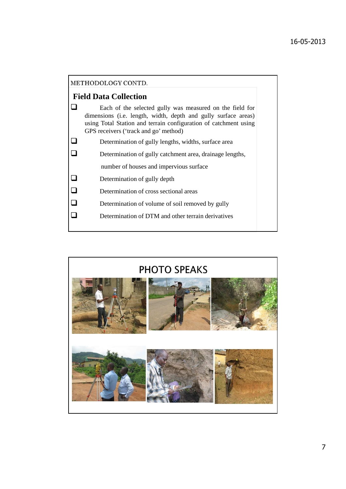| METHODOLOGY CONTD.                                                                                                                                                                                                                      |
|-----------------------------------------------------------------------------------------------------------------------------------------------------------------------------------------------------------------------------------------|
| <b>Field Data Collection</b>                                                                                                                                                                                                            |
| Each of the selected gully was measured on the field for<br>dimensions (i.e. length, width, depth and gully surface areas)<br>using Total Station and terrain configuration of catchment using<br>GPS receivers ('track and go' method) |
| Determination of gully lengths, widths, surface area                                                                                                                                                                                    |
| Determination of gully catchment area, drainage lengths,                                                                                                                                                                                |
| number of houses and impervious surface                                                                                                                                                                                                 |
| Determination of gully depth                                                                                                                                                                                                            |
| Determination of cross sectional areas                                                                                                                                                                                                  |
| Determination of volume of soil removed by gully                                                                                                                                                                                        |
| Determination of DTM and other terrain derivatives                                                                                                                                                                                      |

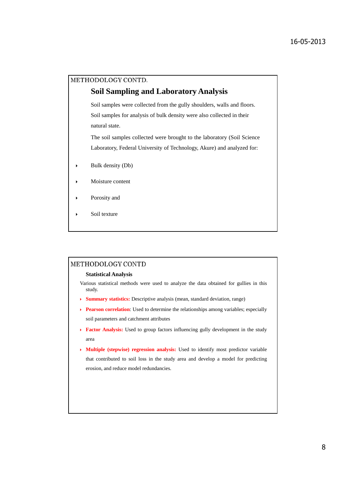#### METHODOLOGY CONTD.

#### **Soil Sampling and Laboratory Analysis**

Soil samples were collected from the gully shoulders, walls and floors. Soil samples for analysis of bulk density were also collected in their natural state.

The soil samples collected were brought to the laboratory (Soil Science Laboratory, Federal University of Technology, Akure) and analyzed for:

- $\triangleright$  Bulk density (Db)
- Moisture content
- Porosity and
- $\triangleright$  Soil texture

#### METHODOLOGY CONTD

#### **Statistical Analysis**

Various statistical methods were used to analyze the data obtained for gullies in this study.

- **Summary statistics:** Descriptive analysis (mean, standard deviation, range)
- **Pearson correlation**: Used to determine the relationships among variables; especially soil parameters and catchment attributes
- **Factor Analysis:** Used to group factors influencing gully development in the study area
- **Multiple (stepwise) regression analysis:** Used to identify most predictor variable that contributed to soil loss in the study area and develop a model for predicting erosion, and reduce model redundancies.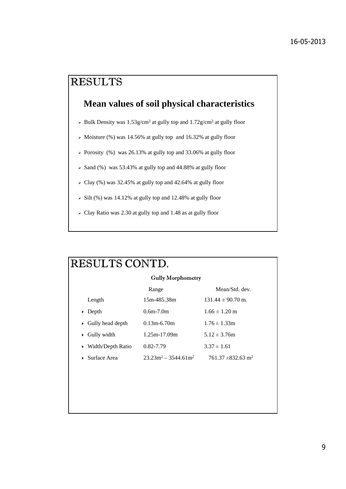# **RESULTS**

## **Mean values of soil physical characteristics**

- $\triangleright$  Bulk Density was 1.53g/cm<sup>3</sup> at gully top and 1.72g/cm<sup>3</sup> at gully floor
- > Moisture (%) was 14.56% at gully top and 16.32% at gully floor
- > Porosity (%) was 26.13% at gully top and 33.06% at gully floor
- $>$  Sand (%) was 53.43% at gully top and 44.88% at gully floor
- $\geq$  Clay (%) was 32.45% at gully top and 42.64% at gully floor
- $\ge$  Silt (%) was 14.12% at gully top and 12.48% at gully floor
- Clay Ratio was 2.30 at gully top and 1.48 as at gully floor

| RESULTS CONTD.                    |                         |                                    |  |  |  |  |  |  |
|-----------------------------------|-------------------------|------------------------------------|--|--|--|--|--|--|
| <b>Gully Morphometry</b>          |                         |                                    |  |  |  |  |  |  |
|                                   | Range                   | Mean/Std. dev.                     |  |  |  |  |  |  |
| Length                            | 15m-485.38m             | $131.44 \pm 90.70$ m.              |  |  |  |  |  |  |
| $\triangleright$ Depth            | $0.6m - 7.0m$           | $1.66 \pm 1.20$ m                  |  |  |  |  |  |  |
| $\triangleright$ Gully head depth | $0.13m-6.70m$           | $1.76 \pm 1.33$ m                  |  |  |  |  |  |  |
| $\triangleright$ Gully width      | $1.25m-17.09m$          | $5.12 \pm 3.76$ m                  |  |  |  |  |  |  |
| ▶ Width/Depth Ratio               | 0.82-7.79               | $3.37 \pm 1.61$                    |  |  |  |  |  |  |
| $\triangleright$ Surface Area     | $23.23m^2 - 3544.61m^2$ | $761.37 \pm 832.63$ m <sup>2</sup> |  |  |  |  |  |  |
|                                   |                         |                                    |  |  |  |  |  |  |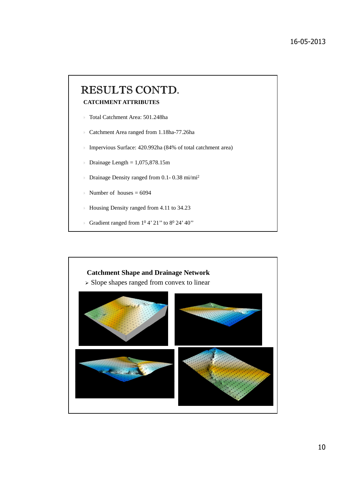# RESULTS CONTD. **CATCHMENT ATTRIBUTES**

- Total Catchment Area: 501.248ha
- Catchment Area ranged from 1.18ha-77.26ha
- Impervious Surface: 420.992ha (84% of total catchment area)
- $\rightarrow$  Drainage Length = 1,075,878.15m
- Drainage Density ranged from 0.1- 0.38 mi/mi<sup>2</sup>
- Number of houses =  $6094$
- Housing Density ranged from 4.11 to 34.23
- Gradient ranged from  $1^0$  4' 21" to  $8^0$  24' 40"

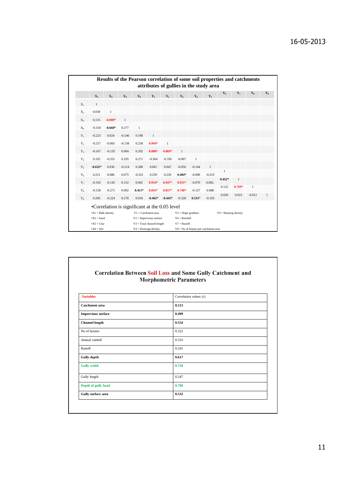|       |                                                             |                                               |                |                | attributes of gullies in the study area                |              |                 |                                                 |          |              |          | Results of the Pearson correlation of some soil properties and catchments |              |
|-------|-------------------------------------------------------------|-----------------------------------------------|----------------|----------------|--------------------------------------------------------|--------------|-----------------|-------------------------------------------------|----------|--------------|----------|---------------------------------------------------------------------------|--------------|
|       | $\mathbf{X}_1$                                              | X,                                            | $\mathbf{X}_3$ | $\mathbf{X}_4$ | $Y_1$                                                  | Y,           | $Y_{3}$         | $Y_4$                                           | $Y_{5}$  | $Y_6$        | $Y_7$    | $Y_8$                                                                     | $Y_9$        |
| $X_1$ | $\mathbf{1}$                                                |                                               |                |                |                                                        |              |                 |                                                 |          |              |          |                                                                           |              |
| $X_2$ | 0.038                                                       | $\mathbf{1}$                                  |                |                |                                                        |              |                 |                                                 |          |              |          |                                                                           |              |
| $X_3$ | 0.135                                                       | $-0.900*$                                     | $\mathbf{1}$   |                |                                                        |              |                 |                                                 |          |              |          |                                                                           |              |
| $X_4$ | $-0.318$                                                    | $-0.668*$                                     | 0.277          | $\mathbf{1}$   |                                                        |              |                 |                                                 |          |              |          |                                                                           |              |
| $Y_1$ | $-0.225$                                                    | 0.024                                         | $-0.146$       | 0.198          | $\mathbf{1}$                                           |              |                 |                                                 |          |              |          |                                                                           |              |
| $Y_2$ | $-0.217$                                                    | $-0.001$                                      | $-0.138$       | 0.238          | $0.994*$                                               | $\mathbf{1}$ |                 |                                                 |          |              |          |                                                                           |              |
| $Y_3$ | $-0.167$                                                    | $-0.135$                                      | 0.004          | 0.292          | $0.880*$                                               | $0.869*$     | $\mathbf{1}$    |                                                 |          |              |          |                                                                           |              |
| $Y_4$ | 0.192                                                       | $-0.351$                                      | 0.295          | 0.271          | $-0.364$                                               | $-0.356$     | $-0.007$        | $\mathbf{1}$                                    |          |              |          |                                                                           |              |
| $Y_5$ | $-0.632*$                                                   | 0.036                                         | $-0.214$       | 0.280          | 0.061                                                  | 0.047        | $-0.056$        | $-0.144$                                        | 1        |              |          |                                                                           |              |
| $Y_6$ | 0.221                                                       | 0.086                                         | 0.075          | $-0.321$       | 0.259                                                  | 0.229        | $0.404*$        | $-0.090$                                        | $-0.253$ | $\mathbf{1}$ |          |                                                                           |              |
| $Y_7$ | $-0.102$                                                    | $-0.145$                                      | 0.152          | 0.062          | $0.954*$                                               | $0.947*$     | $0.951*$        | $-0.070$                                        | 0.082.   | $0.452*$     | 1        |                                                                           |              |
| $Y_8$ | $-0.158$                                                    | $-0.271$                                      | 0.092          | $0.411*$       | $0.841*$                                               | $0.857*$     | $0.740*$        | $-0.127$                                        | 0.088    | 0.122        | $0.769*$ | $\mathbf{1}$                                                              |              |
| $Y_9$ | 0.206                                                       | $-0.224$                                      | 0.278          | 0.018          | $-0.462*$                                              | $-0.443*$    | $-0.328$        | $0.533*$                                        | $-0.183$ | 0.028        | 0.022    | $-0.012$                                                                  | $\mathbf{1}$ |
|       |                                                             | •Correlation is significant at the 0.05 level |                |                |                                                        |              |                 |                                                 |          |              |          |                                                                           |              |
|       | $\mathbf{X} = \mathbf{B}$ and $\mathbf{B}$ and $\mathbf{B}$ |                                               |                |                | $Y1 =$ Catchment area                                  |              |                 | $Y5 =$ Slope gradient<br>$Y9 =$ Housing density |          |              |          |                                                                           |              |
|       | $\bullet$ X2 = Sand                                         |                                               |                |                | $Y2 =$ Impervious surface                              |              | $Y6 = Rainfall$ |                                                 |          |              |          |                                                                           |              |
|       | $\bullet$ X3 = Clay<br>$\bullet$ X4 = Silt:                 |                                               |                |                | $Y3 = Total channel length$<br>$Y4 = Drainage density$ |              | $Y7 =$ Runoff   | $Y8 = No$ of houses per catchment area          |          |              |          |                                                                           |              |

#### **Correlation Between Soil Loss and Some Gully Catchment and Morphometric Parameters**

| <b>Variables</b>          | Correlation values (r) |
|---------------------------|------------------------|
| <b>Catchment</b> area     | 0.513                  |
| <b>Impervious surface</b> | 0.499                  |
| <b>Channel length</b>     | 0.554                  |
| No of houses              | 0.322                  |
| Annual rainfall           | 0.333                  |
| Runoff                    | 0.241                  |
| <b>Gully depth</b>        | 0.617                  |
| <b>Gully width</b>        | 0.728                  |
| Gully length              | 0.247                  |
| Depth of gully head       | 0.789                  |
| Gully surface area        | 0.532                  |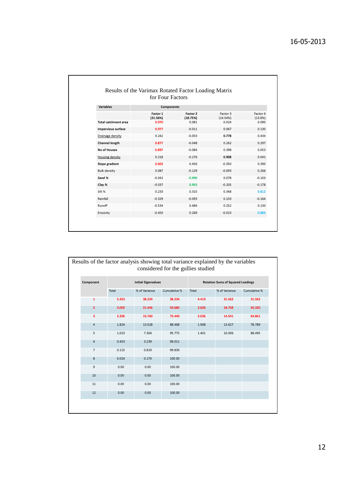|                             | for Four Factors     |                      |                      |                     |
|-----------------------------|----------------------|----------------------|----------------------|---------------------|
| <b>Variables</b>            | Components           |                      |                      |                     |
|                             | Factor 1<br>(31.56%) | Factor 2<br>(18.75%) | Factor 3<br>(14.54%) | Factor 4<br>(13.6%) |
| <b>Total catchment area</b> | 0.970                | 0.081                | 0.024                | 0.090               |
| Impervious surface          | 0.977                | $-0.011$             | 0.067                | 0.130               |
| Drainage density            | 0.242                | $-0.053$             | 0.778                | 0.434               |
| <b>Channel length</b>       | 0.877                | $-0.048$             | 0.262                | 0.297               |
| No of Houses                | 0.897                | $-0.084$             | 0.398                | 0.053               |
| Housing density             | 0.218                | $-0.276$             | 0.908                | 0.041               |
| Slope gradient              | 0.602                | 0.456                | $-0.350$             | 0.390               |
| <b>Bulk density</b>         | 0.087                | $-0.129$             | $-0.093$             | 0.266               |
| Sand %                      | $-0.042$             | $-0.990$             | 0.078                | $-0.103$            |
| Clay %                      | $-0.037$             | 0.955                | $-0.205$             | $-0.178$            |
| Silt %                      | 0.233                | 0.315                | 0.348                | 0.812               |
| Rainfall                    | $-0.329$             | $-0.093$             | 0.103                | $-0.164$            |
| Runoff                      | $-0.534$             | 0.484                | 0.252                | 0.130               |
| Erosivity                   | $-0.450$             | 0.269                | $-0.023$             | 0.885               |

| Results of the factor analysis showing total variance explained by the variables |       |                            | considered for the gullies studied |                                          |               |              |  |  |  |
|----------------------------------------------------------------------------------|-------|----------------------------|------------------------------------|------------------------------------------|---------------|--------------|--|--|--|
| Component                                                                        |       | <b>Initial Eigenvalues</b> |                                    | <b>Rotation Sums of Squared Loadings</b> |               |              |  |  |  |
|                                                                                  | Total | % of Variance              | Cumulative %                       | Total                                    | % of Variance | Cumulative % |  |  |  |
| $\mathbf{1}$                                                                     | 5.353 | 38.234                     | 38.234                             | 4.419                                    | 31.562        | 31.562       |  |  |  |
| $\overline{2}$                                                                   | 3.002 | 21.446                     | 59.680                             | 2.626                                    | 18.758        | 50.320       |  |  |  |
| 3                                                                                | 2.206 | 15.760                     | 75.440                             | 2.036                                    | 14.541        | 64.861       |  |  |  |
| 4                                                                                | 1.824 | 13.028                     | 88.468                             | 1.908                                    | 13.627        | 78.789       |  |  |  |
| 5                                                                                | 1.023 | 7.304                      | 95.775                             | 1.401                                    | 10.006        | 88.495       |  |  |  |
| 6                                                                                | 0.453 | 3.239                      | 99.011                             |                                          |               |              |  |  |  |
| $\overline{7}$                                                                   | 0.115 | 0.819                      | 99.830                             |                                          |               |              |  |  |  |
| 8                                                                                | 0.024 | 0.170                      | 100.00                             |                                          |               |              |  |  |  |
| 9                                                                                | 0.00  | 0.00                       | 100.00                             |                                          |               |              |  |  |  |
| 10                                                                               | 0.00  | 0.00                       | 100.00                             |                                          |               |              |  |  |  |
| 11                                                                               | 0.00  | 0.00                       | 100.00                             |                                          |               |              |  |  |  |
| 12                                                                               | 0.00  | 0.00                       | 100.00                             |                                          |               |              |  |  |  |
|                                                                                  |       |                            |                                    |                                          |               |              |  |  |  |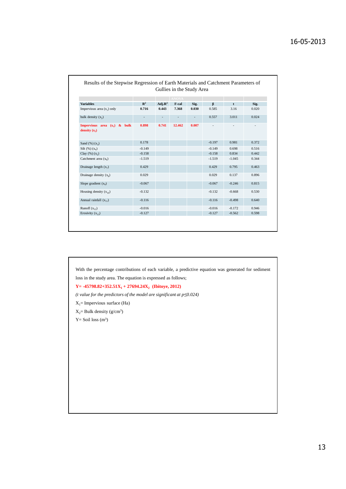| Gullies in the Study Area                         |                |                     |        |       |          |          |                          |  |  |  |
|---------------------------------------------------|----------------|---------------------|--------|-------|----------|----------|--------------------------|--|--|--|
|                                                   | <b>ANOVA</b>   |                     |        |       |          |          |                          |  |  |  |
| <b>Variables</b>                                  | $\mathbb{R}^2$ | Adj. R <sup>2</sup> | F-cal  | Sig.  | $\beta$  | t        | Sig.                     |  |  |  |
| Impervious area $(x_1)$ only                      | 0.716          | 0.443               | 7.368  | 0.030 | 0.585    | 3.16     | 0.020                    |  |  |  |
| bulk density $(x_2)$                              |                |                     |        |       | 0.557    | 3.011    | 0.024                    |  |  |  |
| Impervious area $(x_1)$ & bulk<br>density $(x_2)$ | 0.898          | 0.741               | 12.462 | 0.007 |          |          | $\overline{\phantom{a}}$ |  |  |  |
| Sand $(\%)$ $(x_3)$                               | 0.178          |                     |        |       | $-0.197$ | 0.981    | 0.372                    |  |  |  |
| Silt $(\%)(x_4)$                                  | $-0.149$       |                     |        |       | $-0.149$ | 0.698    | 0.516                    |  |  |  |
| Clay $(\%)(x_5)$                                  | $-0.158$       |                     |        |       | $-0.158$ | 0.834    | 0.442                    |  |  |  |
| Catchment area $(x_6)$                            | $-1.519$       |                     |        |       | $-1.519$ | $-1.045$ | 0.344                    |  |  |  |
| Drainage length $(x_7)$                           | 0.429          |                     |        |       | 0.429    | 0.795    | 0.463                    |  |  |  |
| Drainage density $(x_2)$                          | 0.029          |                     |        |       | 0.029    | 0.137    | 0.896                    |  |  |  |
| Slope gradient $(x_0)$                            | $-0.067$       |                     |        |       | $-0.067$ | $-0.246$ | 0.815                    |  |  |  |
| Housing density $(x_{10})$                        | $-0.132$       |                     |        |       | $-0.132$ | $-0.668$ | 0.530                    |  |  |  |
| Annual rainfall $(x_{11})$                        | $-0.116$       |                     |        |       | $-0.116$ | $-0.498$ | 0.640                    |  |  |  |
| Runoff $(x_1, x_2)$                               | $-0.016$       |                     |        |       | $-0.016$ | $-0.172$ | 0.946                    |  |  |  |
| Erosivity $(x_{13})$                              | $-0.127$       |                     |        |       | $-0.127$ | $-0.562$ | 0.598                    |  |  |  |

With the percentage contributions of each variable, a predictive equation was generated for sediment loss in the study area. The equation is expressed as follows; **Y= -45798.82+352.51X<sup>1</sup> + 27694.24X<sup>2</sup> (Ibitoye, 2012)** *(t value for the predictors of the model are significant at p*≤*0.024)*  $X_1$ = Impervious surface (Ha)  $X_2$ = Bulk density (g/cm<sup>3</sup>)  $Y =$  Soil loss  $(m<sup>3</sup>)$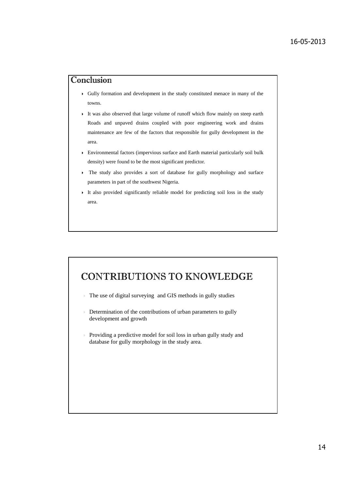## Conclusion

- Gully formation and development in the study constituted menace in many of the towns.
- It was also observed that large volume of runoff which flow mainly on steep earth Roads and unpaved drains coupled with poor engineering work and drains maintenance are few of the factors that responsible for gully development in the area.
- Environmental factors (impervious surface and Earth material particularly soil bulk density) were found to be the most significant predictor.
- The study also provides a sort of database for gully morphology and surface parameters in part of the southwest Nigeria.
- It also provided significantly reliable model for predicting soil loss in the study area.

# **CONTRIBUTIONS TO KNOWLEDGE**

- The use of digital surveying and GIS methods in gully studies
- Determination of the contributions of urban parameters to gully development and growth
- Providing a predictive model for soil loss in urban gully study and database for gully morphology in the study area.